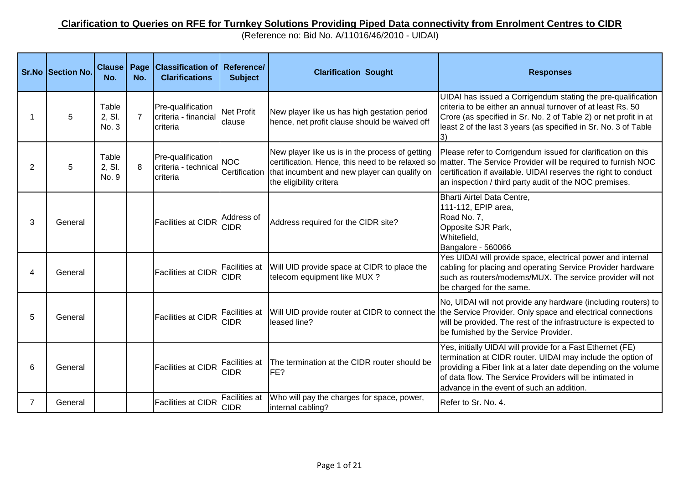## **Clarification to Queries on RFE for Turnkey Solutions Providing Piped Data connectivity from Enrolment Centres to CIDR**

(Reference no: Bid No. A/11016/46/2010 - UIDAI)

|   | <b>Sr.No Section No.</b> | <b>Clause</b><br>No.     | Page<br>No.    | <b>Classification of Reference/</b><br><b>Clarifications</b> | <b>Subject</b>                      | <b>Clarification Sought</b>                                                                                                                | <b>Responses</b>                                                                                                                                                                                                                                                                                            |
|---|--------------------------|--------------------------|----------------|--------------------------------------------------------------|-------------------------------------|--------------------------------------------------------------------------------------------------------------------------------------------|-------------------------------------------------------------------------------------------------------------------------------------------------------------------------------------------------------------------------------------------------------------------------------------------------------------|
|   | 5                        | Table<br>2, SI.<br>No. 3 | $\overline{7}$ | Pre-qualification<br>criteria - financial<br>criteria        | <b>Net Profit</b><br>clause         | New player like us has high gestation period<br>hence, net profit clause should be waived off                                              | UIDAI has issued a Corrigendum stating the pre-qualification<br>criteria to be either an annual turnover of at least Rs. 50<br>Crore (as specified in Sr. No. 2 of Table 2) or net profit in at<br>least 2 of the last 3 years (as specified in Sr. No. 3 of Table<br>I3)                                   |
| 2 | 5                        | Table<br>2, SI.<br>No. 9 | 8              | Pre-qualification<br>criteria - technical<br>criteria        | <b>NOC</b>                          | New player like us is in the process of getting<br>Certification   that incumbent and new player can qualify on<br>the eligibility critera | Please refer to Corrigendum issued for clarification on this<br>certification. Hence, this need to be relaxed so  matter. The Service Provider will be required to furnish NOC<br>certification if available. UIDAI reserves the right to conduct<br>an inspection / third party audit of the NOC premises. |
| 3 | General                  |                          |                | <b>Facilities at CIDR</b>                                    | Address of<br><b>CIDR</b>           | Address required for the CIDR site?                                                                                                        | Bharti Airtel Data Centre,<br>111-112, EPIP area,<br>Road No. 7,<br>Opposite SJR Park,<br>Whitefield,<br>Bangalore - 560066                                                                                                                                                                                 |
|   | General                  |                          |                | <b>Facilities at CIDR</b>                                    | Facilities at<br><b>CIDR</b>        | Will UID provide space at CIDR to place the<br>telecom equipment like MUX ?                                                                | Yes UIDAI will provide space, electrical power and internal<br>cabling for placing and operating Service Provider hardware<br>such as routers/modems/MUX. The service provider will not<br>be charged for the same.                                                                                         |
| 5 | General                  |                          |                | <b>Facilities at CIDR</b>                                    | <b>Facilities at</b><br><b>CIDR</b> | leased line?                                                                                                                               | No, UIDAI will not provide any hardware (including routers) to<br>Will UID provide router at CIDR to connect the the Service Provider. Only space and electrical connections<br>will be provided. The rest of the infrastructure is expected to<br>be furnished by the Service Provider.                    |
| 6 | General                  |                          |                | <b>Facilities at CIDR</b>                                    | <b>Facilities at</b><br><b>CIDR</b> | The termination at the CIDR router should be<br>FE?                                                                                        | Yes, initially UIDAI will provide for a Fast Ethernet (FE)<br>termination at CIDR router. UIDAI may include the option of<br>providing a Fiber link at a later date depending on the volume<br>of data flow. The Service Providers will be intimated in<br>advance in the event of such an addition.        |
| 7 | General                  |                          |                | <b>Facilities at CIDR</b>                                    | Facilities at<br><b>CIDR</b>        | Who will pay the charges for space, power,<br>internal cabling?                                                                            | Refer to Sr. No. 4.                                                                                                                                                                                                                                                                                         |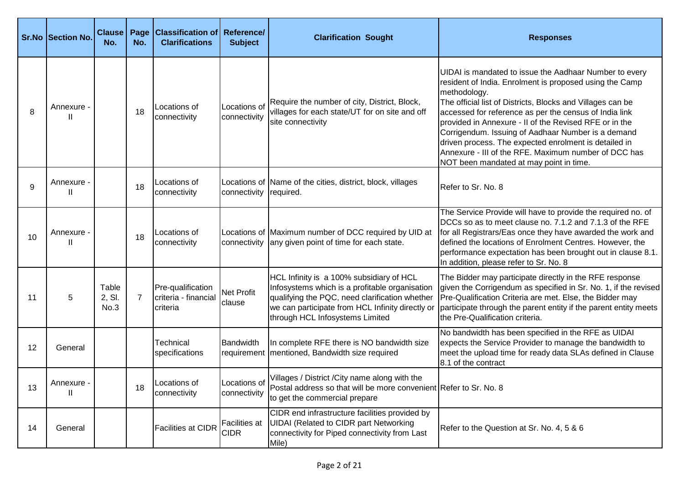|    | <b>Sr.No Section No.</b> | Clause   Page<br>No.    | No.            | <b>Classification of Reference/</b><br><b>Clarifications</b> | <b>Subject</b>               | <b>Clarification Sought</b>                                                                                                                                                                                                         | <b>Responses</b>                                                                                                                                                                                                                                                                                                                                                                                                                                                                                                                      |
|----|--------------------------|-------------------------|----------------|--------------------------------------------------------------|------------------------------|-------------------------------------------------------------------------------------------------------------------------------------------------------------------------------------------------------------------------------------|---------------------------------------------------------------------------------------------------------------------------------------------------------------------------------------------------------------------------------------------------------------------------------------------------------------------------------------------------------------------------------------------------------------------------------------------------------------------------------------------------------------------------------------|
| 8  | Annexure -<br>Ш          |                         | 18             | Locations of<br>connectivity                                 | Locations of<br>connectivity | Require the number of city, District, Block,<br>villages for each state/UT for on site and off<br>site connectivity                                                                                                                 | UIDAI is mandated to issue the Aadhaar Number to every<br>resident of India. Enrolment is proposed using the Camp<br>methodology.<br>The official list of Districts, Blocks and Villages can be<br>accessed for reference as per the census of India link<br>provided in Annexure - II of the Revised RFE or in the<br>Corrigendum. Issuing of Aadhaar Number is a demand<br>driven process. The expected enrolment is detailed in<br>Annexure - III of the RFE. Maximum number of DCC has<br>NOT been mandated at may point in time. |
| 9  | Annexure -<br>Ш          |                         | 18             | Locations of<br>connectivity                                 | connectivity                 | Locations of Name of the cities, district, block, villages<br>required.                                                                                                                                                             | Refer to Sr. No. 8                                                                                                                                                                                                                                                                                                                                                                                                                                                                                                                    |
| 10 | Annexure -<br>Ш          |                         | 18             | Locations of<br>connectivity                                 |                              | Locations of Maximum number of DCC required by UID at<br>connectivity any given point of time for each state.                                                                                                                       | The Service Provide will have to provide the required no. of<br>DCCs so as to meet clause no. 7.1.2 and 7.1.3 of the RFE<br>for all Registrars/Eas once they have awarded the work and<br>defined the locations of Enrolment Centres. However, the<br>performance expectation has been brought out in clause 8.1.<br>In addition, please refer to Sr. No. 8                                                                                                                                                                           |
| 11 | 5                        | Table<br>2, SI.<br>No.3 | $\overline{7}$ | Pre-qualification<br>criteria - financial<br>criteria        | Net Profit<br>clause         | HCL Infinity is a 100% subsidiary of HCL<br>Infosystems which is a profitable organisation<br>qualifying the PQC, need clarification whether<br>we can participate from HCL Infinity directly or<br>through HCL Infosystems Limited | The Bidder may participate directly in the RFE response<br>given the Corrigendum as specified in Sr. No. 1, if the revised<br>Pre-Qualification Criteria are met. Else, the Bidder may<br>participate through the parent entity if the parent entity meets<br>the Pre-Qualification criteria.                                                                                                                                                                                                                                         |
| 12 | General                  |                         |                | <b>Technical</b><br>specifications                           | Bandwidth                    | In complete RFE there is NO bandwidth size<br>requirement   mentioned, Bandwidth size required                                                                                                                                      | No bandwidth has been specified in the RFE as UIDAI<br>expects the Service Provider to manage the bandwidth to<br>meet the upload time for ready data SLAs defined in Clause<br>8.1 of the contract                                                                                                                                                                                                                                                                                                                                   |
| 13 | Annexure<br>Ш            |                         | 18             | Locations of<br>connectivity                                 | connectivity                 | Locations of Villages / District / City name along with the<br>Postal address so that will be more convenient Refer to Sr. No. 8<br>to get the commercial prepare                                                                   |                                                                                                                                                                                                                                                                                                                                                                                                                                                                                                                                       |
| 14 | General                  |                         |                | <b>Facilities at CIDR</b>                                    | Facilities at<br><b>CIDR</b> | CIDR end infrastructure facilities provided by<br><b>UIDAI</b> (Related to CIDR part Networking<br>connectivity for Piped connectivity from Last<br>Mile)                                                                           | Refer to the Question at Sr. No. 4, 5 & 6                                                                                                                                                                                                                                                                                                                                                                                                                                                                                             |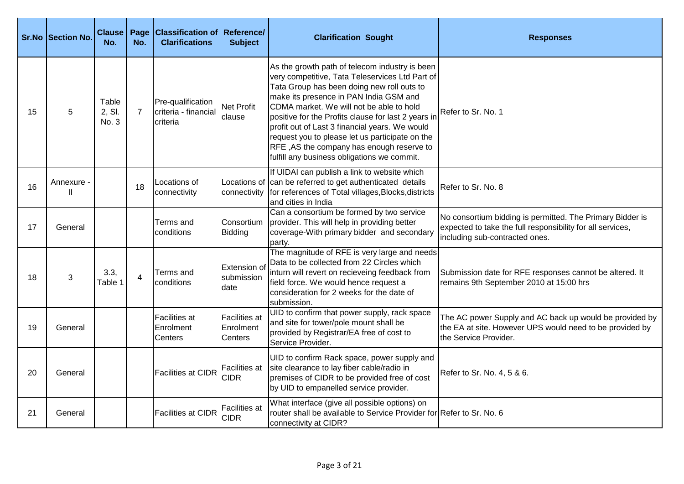|    | <b>Sr.No Section No.</b> | <b>Clause</b><br>No.     | Page<br>No.    | <b>Classification of Reference/</b><br><b>Clarifications</b> | <b>Subject</b>                               | <b>Clarification Sought</b>                                                                                                                                                                                                                                                                                                                                                                                                                                                                   | <b>Responses</b>                                                                                                                                          |
|----|--------------------------|--------------------------|----------------|--------------------------------------------------------------|----------------------------------------------|-----------------------------------------------------------------------------------------------------------------------------------------------------------------------------------------------------------------------------------------------------------------------------------------------------------------------------------------------------------------------------------------------------------------------------------------------------------------------------------------------|-----------------------------------------------------------------------------------------------------------------------------------------------------------|
| 15 | 5                        | Table<br>2, SI.<br>No. 3 | $\overline{7}$ | Pre-qualification<br>criteria - financial<br>criteria        | <b>Net Profit</b><br>clause                  | As the growth path of telecom industry is been<br>very competitive, Tata Teleservices Ltd Part of<br>Tata Group has been doing new roll outs to<br>make its presence in PAN India GSM and<br>CDMA market. We will not be able to hold<br>positive for the Profits clause for last 2 years in<br>profit out of Last 3 financial years. We would<br>request you to please let us participate on the<br>RFE, AS the company has enough reserve to<br>fulfill any business obligations we commit. | Refer to Sr. No. 1                                                                                                                                        |
| 16 | Annexure -<br>Ш          |                          | 18             | Locations of<br>connectivity                                 | connectivity                                 | If UIDAI can publish a link to website which<br>Locations of can be referred to get authenticated details<br>for references of Total villages, Blocks, districts<br>and cities in India                                                                                                                                                                                                                                                                                                       | Refer to Sr. No. 8                                                                                                                                        |
| 17 | General                  |                          |                | Terms and<br>conditions                                      | Consortium<br>Bidding                        | Can a consortium be formed by two service<br>provider. This will help in providing better<br>coverage-With primary bidder and secondary<br>party.                                                                                                                                                                                                                                                                                                                                             | No consortium bidding is permitted. The Primary Bidder is<br>expected to take the full responsibility for all services,<br>including sub-contracted ones. |
| 18 | 3                        | 3.3,<br>Table 1          | $\overline{4}$ | Terms and<br>conditions                                      | Extension of<br>submission<br>date           | The magnitude of RFE is very large and needs<br>Data to be collected from 22 Circles which<br>inturn will revert on recieveing feedback from<br>field force. We would hence request a<br>consideration for 2 weeks for the date of<br>submission.                                                                                                                                                                                                                                             | Submission date for RFE responses cannot be altered. It<br>remains 9th September 2010 at 15:00 hrs                                                        |
| 19 | General                  |                          |                | <b>Facilities</b> at<br>Enrolment<br>Centers                 | <b>Facilities at</b><br>Enrolment<br>Centers | UID to confirm that power supply, rack space<br>and site for tower/pole mount shall be<br>provided by Registrar/EA free of cost to<br>Service Provider.                                                                                                                                                                                                                                                                                                                                       | The AC power Supply and AC back up would be provided by<br>the EA at site. However UPS would need to be provided by<br>the Service Provider.              |
| 20 | General                  |                          |                | <b>Facilities at CIDR</b>                                    | Facilities at<br><b>CIDR</b>                 | UID to confirm Rack space, power supply and<br>site clearance to lay fiber cable/radio in<br>premises of CIDR to be provided free of cost<br>by UID to empanelled service provider.                                                                                                                                                                                                                                                                                                           | Refer to Sr. No. 4, 5 & 6.                                                                                                                                |
| 21 | General                  |                          |                | <b>Facilities at CIDR</b>                                    | Facilities at<br><b>CIDR</b>                 | What interface (give all possible options) on<br>router shall be available to Service Provider for Refer to Sr. No. 6<br>connectivity at CIDR?                                                                                                                                                                                                                                                                                                                                                |                                                                                                                                                           |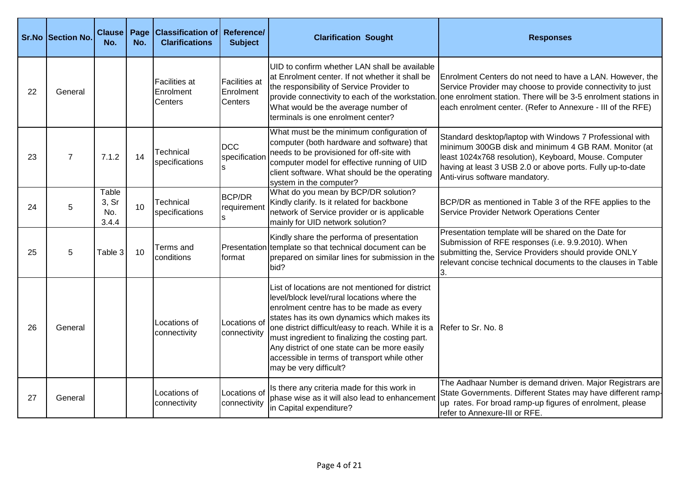|    | Sr.No Section No. | <b>Clause</b><br>No.           | Page<br>No. | <b>Classification of</b><br><b>Clarifications</b> | Reference/<br><b>Subject</b>                        | <b>Clarification Sought</b>                                                                                                                                                                                                                                                                                                                                                                                                    | <b>Responses</b>                                                                                                                                                                                                                                                          |
|----|-------------------|--------------------------------|-------------|---------------------------------------------------|-----------------------------------------------------|--------------------------------------------------------------------------------------------------------------------------------------------------------------------------------------------------------------------------------------------------------------------------------------------------------------------------------------------------------------------------------------------------------------------------------|---------------------------------------------------------------------------------------------------------------------------------------------------------------------------------------------------------------------------------------------------------------------------|
| 22 | General           |                                |             | <b>Facilities at</b><br>Enrolment<br>Centers      | <b>Facilities</b> at<br>Enrolment<br><b>Centers</b> | UID to confirm whether LAN shall be available<br>at Enrolment center. If not whether it shall be<br>the responsibility of Service Provider to<br>provide connectivity to each of the workstation.<br>What would be the average number of<br>terminals is one enrolment center?                                                                                                                                                 | Enrolment Centers do not need to have a LAN. However, the<br>Service Provider may choose to provide connectivity to just<br>one enrolment station. There will be 3-5 enrolment stations in<br>each enrolment center. (Refer to Annexure - III of the RFE)                 |
| 23 | $\overline{7}$    | 7.1.2                          | 14          | <b>Technical</b><br>specifications                | <b>DCC</b><br>specification                         | What must be the minimum configuration of<br>computer (both hardware and software) that<br>needs to be provisioned for off-site with<br>computer model for effective running of UID<br>client software. What should be the operating<br>system in the computer?                                                                                                                                                                | Standard desktop/laptop with Windows 7 Professional with<br>minimum 300GB disk and minimum 4 GB RAM. Monitor (at<br>least 1024x768 resolution), Keyboard, Mouse. Computer<br>having at least 3 USB 2.0 or above ports. Fully up-to-date<br>Anti-virus software mandatory. |
| 24 | 5                 | Table<br>3, Sr<br>No.<br>3.4.4 | 10          | <b>Technical</b><br>specifications                | <b>BCP/DR</b><br>requirement                        | What do you mean by BCP/DR solution?<br>Kindly clarify. Is it related for backbone<br>network of Service provider or is applicable<br>mainly for UID network solution?                                                                                                                                                                                                                                                         | BCP/DR as mentioned in Table 3 of the RFE applies to the<br>Service Provider Network Operations Center                                                                                                                                                                    |
| 25 | 5                 | Table 3                        | 10          | Terms and<br>conditions                           | lformat                                             | Kindly share the performa of presentation<br>Presentation template so that technical document can be<br>prepared on similar lines for submission in the<br>bid?                                                                                                                                                                                                                                                                | Presentation template will be shared on the Date for<br>Submission of RFE responses (i.e. 9.9.2010). When<br>submitting the, Service Providers should provide ONLY<br>relevant concise technical documents to the clauses in Table<br>3.                                  |
| 26 | General           |                                |             | Locations of<br>connectivity                      | Locations of<br>connectivity                        | List of locations are not mentioned for district<br>level/block level/rural locations where the<br>enrolment centre has to be made as every<br>states has its own dynamics which makes its<br>one district difficult/easy to reach. While it is a<br>must ingredient to finalizing the costing part.<br>Any district of one state can be more easily<br>accessible in terms of transport while other<br>may be very difficult? | Refer to Sr. No. 8                                                                                                                                                                                                                                                        |
| 27 | General           |                                |             | Locations of<br>connectivity                      | Locations of<br>connectivity                        | Is there any criteria made for this work in<br>phase wise as it will also lead to enhancement<br>in Capital expenditure?                                                                                                                                                                                                                                                                                                       | The Aadhaar Number is demand driven. Major Registrars are<br>State Governments. Different States may have different ramp-<br>up rates. For broad ramp-up figures of enrolment, please<br>refer to Annexure-III or RFE.                                                    |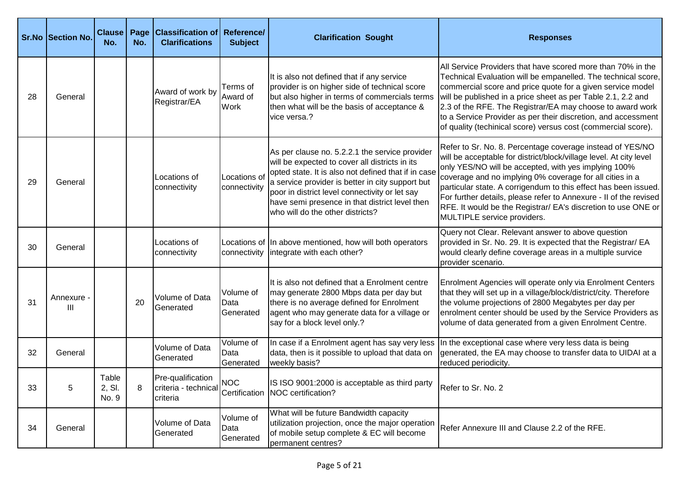|    | <b>Sr.No Section No.</b> | <b>Clause</b><br>No.     | Page<br>No. | <b>Classification of</b><br><b>Clarifications</b> | Reference/<br><b>Subject</b>   | <b>Clarification Sought</b>                                                                                                                                                                                                                                                                                                                         | <b>Responses</b>                                                                                                                                                                                                                                                                                                                                                                                                                                                                            |
|----|--------------------------|--------------------------|-------------|---------------------------------------------------|--------------------------------|-----------------------------------------------------------------------------------------------------------------------------------------------------------------------------------------------------------------------------------------------------------------------------------------------------------------------------------------------------|---------------------------------------------------------------------------------------------------------------------------------------------------------------------------------------------------------------------------------------------------------------------------------------------------------------------------------------------------------------------------------------------------------------------------------------------------------------------------------------------|
| 28 | General                  |                          |             | Award of work by<br>Registrar/EA                  | Terms of<br>Award of<br>Work   | It is also not defined that if any service<br>provider is on higher side of technical score<br>but also higher in terms of commercials terms<br>then what will be the basis of acceptance &<br>vice versa.?                                                                                                                                         | All Service Providers that have scored more than 70% in the<br>Technical Evaluation will be empanelled. The technical score,<br>commercial score and price quote for a given service model<br>will be published in a price sheet as per Table 2.1, 2.2 and<br>2.3 of the RFE. The Registrar/EA may choose to award work<br>to a Service Provider as per their discretion, and accessment<br>of quality (techinical score) versus cost (commercial score).                                   |
| 29 | General                  |                          |             | Locations of<br>connectivity                      | Locations of<br>connectivity   | As per clause no. 5.2.2.1 the service provider<br>will be expected to cover all districts in its<br>opted state. It is also not defined that if in case<br>a service provider is better in city support but<br>poor in district level connectivity or let say<br>have semi presence in that district level then<br>who will do the other districts? | Refer to Sr. No. 8. Percentage coverage instead of YES/NO<br>will be acceptable for district/block/village level. At city level<br>only YES/NO will be accepted, with yes implying 100%<br>coverage and no implying 0% coverage for all cities in a<br>particular state. A corrigendum to this effect has been issued.<br>For further details, please refer to Annexure - II of the revised<br>RFE. It would be the Registrar/ EA's discretion to use ONE or<br>MULTIPLE service providers. |
| 30 | General                  |                          |             | Locations of<br>connectivity                      |                                | Locations of In above mentioned, how will both operators<br>connectivity lintegrate with each other?                                                                                                                                                                                                                                                | Query not Clear. Relevant answer to above question<br>provided in Sr. No. 29. It is expected that the Registrar/ EA<br>would clearly define coverage areas in a multiple survice<br>provider scenario.                                                                                                                                                                                                                                                                                      |
| 31 | Annexure -<br>Ш          |                          | 20          | Volume of Data<br>Generated                       | Volume of<br>Data<br>Generated | It is also not defined that a Enrolment centre<br>may generate 2800 Mbps data per day but<br>there is no average defined for Enrolment<br>agent who may generate data for a village or<br>say for a block level only.?                                                                                                                              | Enrolment Agencies will operate only via Enrolment Centers<br>that they will set up in a village/block/district/city. Therefore<br>the volume projections of 2800 Megabytes per day per<br>enrolment center should be used by the Service Providers as<br>volume of data generated from a given Enrolment Centre.                                                                                                                                                                           |
| 32 | General                  |                          |             | Volume of Data<br>Generated                       | Volume of<br>Data<br>Generated | In case if a Enrolment agent has say very less<br>data, then is it possible to upload that data on<br>weekly basis?                                                                                                                                                                                                                                 | In the exceptional case where very less data is being<br>generated, the EA may choose to transfer data to UIDAI at a<br>reduced periodicity.                                                                                                                                                                                                                                                                                                                                                |
| 33 | 5                        | Table<br>2, SI.<br>No. 9 | 8           | Pre-qualification<br>criteria                     | <b>NOC</b>                     | IS ISO 9001:2000 is acceptable as third party<br>criteria - technical Certification NOC certification?                                                                                                                                                                                                                                              | Refer to Sr. No. 2                                                                                                                                                                                                                                                                                                                                                                                                                                                                          |
| 34 | General                  |                          |             | Volume of Data<br>Generated                       | Volume of<br>Data<br>Generated | What will be future Bandwidth capacity<br>utilization projection, once the major operation<br>of mobile setup complete & EC will become<br>permanent centres?                                                                                                                                                                                       | Refer Annexure III and Clause 2.2 of the RFE.                                                                                                                                                                                                                                                                                                                                                                                                                                               |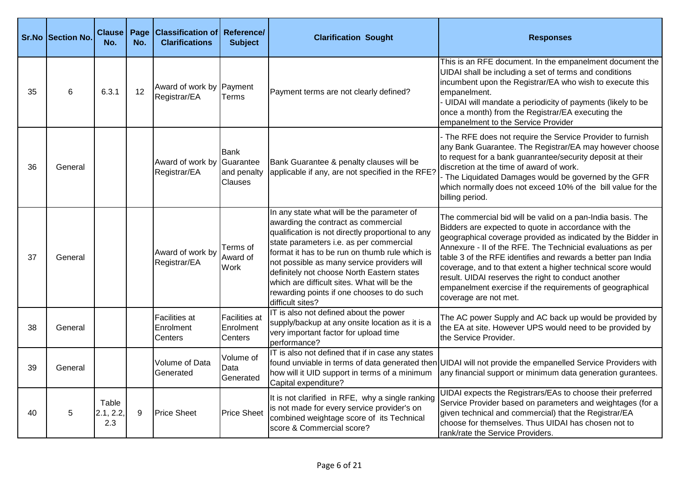|    | Sr.No Section No. | <b>Clause</b><br>No.      | Page<br>No. | <b>Classification of Reference/</b><br><b>Clarifications</b> | <b>Subject</b>                               | <b>Clarification Sought</b>                                                                                                                                                                                                                                                                                                                                                                                                                       | <b>Responses</b>                                                                                                                                                                                                                                                                                                                                                                                                                                                                                                             |
|----|-------------------|---------------------------|-------------|--------------------------------------------------------------|----------------------------------------------|---------------------------------------------------------------------------------------------------------------------------------------------------------------------------------------------------------------------------------------------------------------------------------------------------------------------------------------------------------------------------------------------------------------------------------------------------|------------------------------------------------------------------------------------------------------------------------------------------------------------------------------------------------------------------------------------------------------------------------------------------------------------------------------------------------------------------------------------------------------------------------------------------------------------------------------------------------------------------------------|
| 35 | 6                 | 6.3.1                     | 12          | Award of work by Payment<br>Registrar/EA                     | Terms                                        | Payment terms are not clearly defined?                                                                                                                                                                                                                                                                                                                                                                                                            | This is an RFE document. In the empanelment document the<br>UIDAI shall be including a set of terms and conditions<br>incumbent upon the Registrar/EA who wish to execute this<br>empanelment.<br>- UIDAI will mandate a periodicity of payments (likely to be<br>once a month) from the Registrar/EA executing the<br>empanelment to the Service Provider                                                                                                                                                                   |
| 36 | General           |                           |             | Award of work by Guarantee<br>Registrar/EA                   | Bank<br>and penalty<br>Clauses               | Bank Guarantee & penalty clauses will be<br>applicable if any, are not specified in the RFE?                                                                                                                                                                                                                                                                                                                                                      | - The RFE does not require the Service Provider to furnish<br>any Bank Guarantee. The Registrar/EA may however choose<br>to request for a bank guanrantee/security deposit at their<br>discretion at the time of award of work.<br>- The Liquidated Damages would be governed by the GFR<br>which normally does not exceed 10% of the bill value for the<br>billing period.                                                                                                                                                  |
| 37 | General           |                           |             | Award of work by<br>Registrar/EA                             | Terms of<br>Award of<br>Work                 | In any state what will be the parameter of<br>awarding the contract as commercial<br>qualification is not directly proportional to any<br>state parameters i.e. as per commercial<br>format it has to be run on thumb rule which is<br>not possible as many service providers will<br>definitely not choose North Eastern states<br>which are difficult sites. What will be the<br>rewarding points if one chooses to do such<br>difficult sites? | The commercial bid will be valid on a pan-India basis. The<br>Bidders are expected to quote in accordance with the<br>geographical coverage provided as indicated by the Bidder in<br>Annexure - II of the RFE. The Technicial evaluations as per<br>table 3 of the RFE identifies and rewards a better pan India<br>coverage, and to that extent a higher technical score would<br>result. UIDAI reserves the right to conduct another<br>empanelment exercise if the requirements of geographical<br>coverage are not met. |
| 38 | General           |                           |             | <b>Facilities at</b><br>Enrolment<br>Centers                 | <b>Facilities</b> at<br>Enrolment<br>Centers | IT is also not defined about the power<br>supply/backup at any onsite location as it is a<br>very important factor for upload time<br>performance?                                                                                                                                                                                                                                                                                                | The AC power Supply and AC back up would be provided by<br>the EA at site. However UPS would need to be provided by<br>the Service Provider.                                                                                                                                                                                                                                                                                                                                                                                 |
| 39 | General           |                           |             | Volume of Data<br>Generated                                  | Volume of<br>Data<br>Generated               | IT is also not defined that if in case any states<br>how will it UID support in terms of a minimum<br>Capital expenditure?                                                                                                                                                                                                                                                                                                                        | found unviable in terms of data generated then UIDAI will not provide the empanelled Service Providers with<br>any financial support or minimum data generation gurantees.                                                                                                                                                                                                                                                                                                                                                   |
| 40 | 5                 | Table<br>2.1, 2.2,<br>2.3 | 9           | <b>Price Sheet</b>                                           | <b>Price Sheet</b>                           | It is not clarified in RFE, why a single ranking<br>is not made for every service provider's on<br>combined weightage score of its Technical<br>score & Commercial score?                                                                                                                                                                                                                                                                         | UIDAI expects the Registrars/EAs to choose their preferred<br>Service Provider based on parameters and weightages (for a<br>given technical and commercial) that the Registrar/EA<br>choose for themselves. Thus UIDAI has chosen not to<br>rank/rate the Service Providers.                                                                                                                                                                                                                                                 |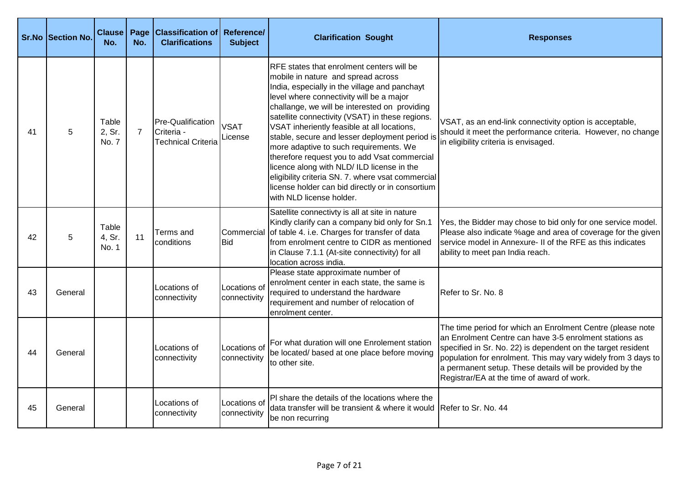|    | <b>Sr.No Section No.</b> | <b>Clause</b><br>No.     | Page<br>No.    | <b>Classification of Reference/</b><br><b>Clarifications</b> | <b>Subject</b>               | <b>Clarification Sought</b>                                                                                                                                                                                                                                                                                                                                                                                                                                                                                                                                                                                                                                           | <b>Responses</b>                                                                                                                                                                                                                                                                                                                                                |
|----|--------------------------|--------------------------|----------------|--------------------------------------------------------------|------------------------------|-----------------------------------------------------------------------------------------------------------------------------------------------------------------------------------------------------------------------------------------------------------------------------------------------------------------------------------------------------------------------------------------------------------------------------------------------------------------------------------------------------------------------------------------------------------------------------------------------------------------------------------------------------------------------|-----------------------------------------------------------------------------------------------------------------------------------------------------------------------------------------------------------------------------------------------------------------------------------------------------------------------------------------------------------------|
| 41 | 5                        | Table<br>2. Sr.<br>No. 7 | $\overline{7}$ | Pre-Qualification<br>Criteria -<br><b>Technical Criteria</b> | <b>VSAT</b><br>License       | <b>RFE</b> states that enrolment centers will be<br>mobile in nature and spread across<br>India, especially in the village and panchayt<br>level where connectivity will be a major<br>challange, we will be interested on providing<br>satellite connectivity (VSAT) in these regions.<br>VSAT inheriently feasible at all locations,<br>stable, secure and lesser deployment period is<br>more adaptive to such requirements. We<br>therefore request you to add Vsat commercial<br>licence along with NLD/ ILD license in the<br>eligibility criteria SN. 7. where vsat commercial<br>license holder can bid directly or in consortium<br>with NLD license holder. | VSAT, as an end-link connectivity option is acceptable,<br>should it meet the performance criteria. However, no change<br>in eligibility criteria is envisaged.                                                                                                                                                                                                 |
| 42 | 5                        | Table<br>4, Sr.<br>No. 1 | 11             | Terms and<br>conditions                                      | <b>Bid</b>                   | Satellite connectivty is all at site in nature<br>Kindly clarify can a company bid only for Sn.1<br>Commercial of table 4. i.e. Charges for transfer of data<br>from enrolment centre to CIDR as mentioned<br>in Clause 7.1.1 (At-site connectivity) for all<br>location across india.                                                                                                                                                                                                                                                                                                                                                                                | Yes, the Bidder may chose to bid only for one service model.<br>Please also indicate %age and area of coverage for the given<br>service model in Annexure- II of the RFE as this indicates<br>ability to meet pan India reach.                                                                                                                                  |
| 43 | General                  |                          |                | Locations of<br>connectivity                                 | Locations of<br>connectivity | Please state approximate number of<br>enrolment center in each state, the same is<br>required to understand the hardware<br>requirement and number of relocation of<br>enrolment center.                                                                                                                                                                                                                                                                                                                                                                                                                                                                              | Refer to Sr. No. 8                                                                                                                                                                                                                                                                                                                                              |
| 44 | General                  |                          |                | Locations of<br>connectivity                                 | Locations of<br>connectivity | For what duration will one Enrolement station<br>be located/ based at one place before moving<br>to other site.                                                                                                                                                                                                                                                                                                                                                                                                                                                                                                                                                       | The time period for which an Enrolment Centre (please note<br>an Enrolment Centre can have 3-5 enrolment stations as<br>specified in Sr. No. 22) is dependent on the target resident<br>population for enrolment. This may vary widely from 3 days to<br>a permanent setup. These details will be provided by the<br>Registrar/EA at the time of award of work. |
| 45 | General                  |                          |                | Locations of<br>connectivity                                 | Locations of<br>connectivity | PI share the details of the locations where the<br>data transfer will be transient & where it would Refer to Sr. No. 44<br>be non recurring                                                                                                                                                                                                                                                                                                                                                                                                                                                                                                                           |                                                                                                                                                                                                                                                                                                                                                                 |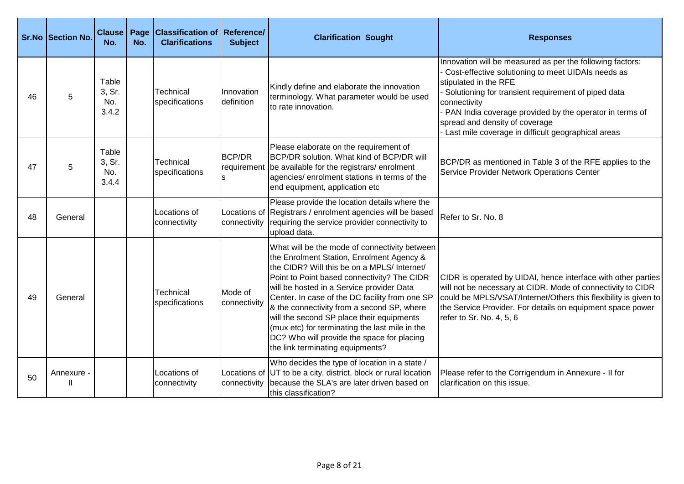|    | <b>Sr.No Section No.</b> | <b>Clause</b><br>No.            | No. | Page   Classification of<br><b>Clarifications</b> | Reference/<br><b>Subject</b> | <b>Clarification Sought</b>                                                                                                                                                                                                                                                                                                                                                                                                                                                                                            | <b>Responses</b>                                                                                                                                                                                                                                                                                                                                                     |
|----|--------------------------|---------------------------------|-----|---------------------------------------------------|------------------------------|------------------------------------------------------------------------------------------------------------------------------------------------------------------------------------------------------------------------------------------------------------------------------------------------------------------------------------------------------------------------------------------------------------------------------------------------------------------------------------------------------------------------|----------------------------------------------------------------------------------------------------------------------------------------------------------------------------------------------------------------------------------------------------------------------------------------------------------------------------------------------------------------------|
| 46 | 5                        | Table<br>3, Sr.<br>No.<br>3.4.2 |     | Technical<br>specifications                       | Innovation<br>definition     | Kindly define and elaborate the innovation<br>terminology. What parameter would be used<br>to rate innovation.                                                                                                                                                                                                                                                                                                                                                                                                         | Innovation will be measured as per the following factors:<br>Cost-effective solutioning to meet UIDAIs needs as<br>stipulated in the RFE<br>Solutioning for transient requirement of piped data<br>connectivity<br>PAN India coverage provided by the operator in terms of<br>spread and density of coverage<br>- Last mile coverage in difficult geographical areas |
| 47 | 5                        | Table<br>3, Sr.<br>No.<br>3.4.4 |     | Technical<br>specifications                       | <b>BCP/DR</b><br>requirement | Please elaborate on the requirement of<br>BCP/DR solution. What kind of BCP/DR will<br>be available for the registrars/enrolment<br>agencies/ enrolment stations in terms of the<br>end equipment, application etc                                                                                                                                                                                                                                                                                                     | BCP/DR as mentioned in Table 3 of the RFE applies to the<br>Service Provider Network Operations Center                                                                                                                                                                                                                                                               |
| 48 | General                  |                                 |     | Locations of<br>connectivity                      | Locations of<br>connectivity | Please provide the location details where the<br>Registrars / enrolment agencies will be based<br>requiring the service provider connectivity to<br>upload data.                                                                                                                                                                                                                                                                                                                                                       | Refer to Sr. No. 8                                                                                                                                                                                                                                                                                                                                                   |
| 49 | General                  |                                 |     | Technical<br>specifications                       | Mode of<br>connectivity      | What will be the mode of connectivity between<br>the Enrolment Station, Enrolment Agency &<br>the CIDR? Will this be on a MPLS/ Internet/<br>Point to Point based connectivity? The CIDR<br>will be hosted in a Service provider Data<br>Center. In case of the DC facility from one SP<br>& the connectivity from a second SP, where<br>will the second SP place their equipments<br>(mux etc) for terminating the last mile in the<br>DC? Who will provide the space for placing<br>the link terminating equipments? | CIDR is operated by UIDAI, hence interface with other parties<br>will not be necessary at CIDR. Mode of connectivity to CIDR<br>could be MPLS/VSAT/Internet/Others this flexibility is given to<br>the Service Provider. For details on equipment space power<br>refer to Sr. No. 4, 5, 6                                                                            |
| 50 | Annexure<br>Ш            |                                 |     | Locations of<br>connectivity                      | connectivity                 | Who decides the type of location in a state /<br>Locations of UT to be a city, district, block or rural location<br>because the SLA's are later driven based on<br>this classification?                                                                                                                                                                                                                                                                                                                                | Please refer to the Corrigendum in Annexure - II for<br>clarification on this issue.                                                                                                                                                                                                                                                                                 |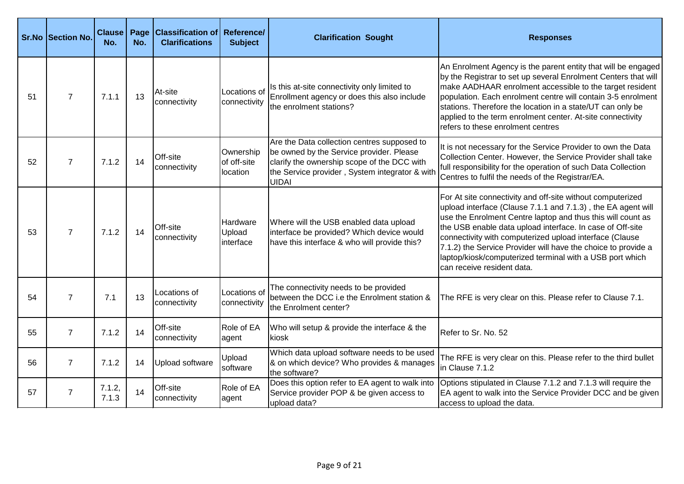|    | Sr.No Section No. | <b>Clause</b><br>No. | Page<br>No. | <b>Classification of Reference/</b><br><b>Clarifications</b> | <b>Subject</b>                       | <b>Clarification Sought</b>                                                                                                                                                                              | <b>Responses</b>                                                                                                                                                                                                                                                                                                                                                                                                                                                             |
|----|-------------------|----------------------|-------------|--------------------------------------------------------------|--------------------------------------|----------------------------------------------------------------------------------------------------------------------------------------------------------------------------------------------------------|------------------------------------------------------------------------------------------------------------------------------------------------------------------------------------------------------------------------------------------------------------------------------------------------------------------------------------------------------------------------------------------------------------------------------------------------------------------------------|
| 51 | $\overline{7}$    | 7.1.1                | 13          | At-site<br>connectivity                                      | Locations of<br>connectivity         | Is this at-site connectivity only limited to<br>Enrollment agency or does this also include<br>the enrolment stations?                                                                                   | An Enrolment Agency is the parent entity that will be engaged<br>by the Registrar to set up several Enrolment Centers that will<br>make AADHAAR enrolment accessible to the target resident<br>population. Each enrolment centre will contain 3-5 enrolment<br>stations. Therefore the location in a state/UT can only be<br>applied to the term enrolment center. At-site connectivity<br>refers to these enrolment centres                                                 |
| 52 | $\overline{7}$    | 7.1.2                | 14          | Off-site<br>connectivity                                     | Ownership<br>of off-site<br>location | Are the Data collection centres supposed to<br>be owned by the Service provider. Please<br>clarify the ownership scope of the DCC with<br>the Service provider, System integrator & with<br><b>UIDAI</b> | It is not necessary for the Service Provider to own the Data<br>Collection Center. However, the Service Provider shall take<br>full responsibility for the operation of such Data Collection<br>Centres to fulfil the needs of the Registrar/EA.                                                                                                                                                                                                                             |
| 53 | $\overline{7}$    | 7.1.2                | 14          | Off-site<br>connectivity                                     | Hardware<br>Upload<br>interface      | Where will the USB enabled data upload<br>interface be provided? Which device would<br>have this interface & who will provide this?                                                                      | For At site connectivity and off-site without computerized<br>upload interface (Clause 7.1.1 and 7.1.3), the EA agent will<br>use the Enrolment Centre laptop and thus this will count as<br>the USB enable data upload interface. In case of Off-site<br>connectivity with computerized upload interface (Clause<br>7.1.2) the Service Provider will have the choice to provide a<br>laptop/kiosk/computerized terminal with a USB port which<br>can receive resident data. |
| 54 | $\overline{7}$    | 7.1                  | 13          | Locations of<br>connectivity                                 | Locations of<br>connectivity         | The connectivity needs to be provided<br>between the DCC i.e the Enrolment station &<br>the Enrolment center?                                                                                            | The RFE is very clear on this. Please refer to Clause 7.1.                                                                                                                                                                                                                                                                                                                                                                                                                   |
| 55 | $\overline{7}$    | 7.1.2                | 14          | Off-site<br>connectivity                                     | Role of EA<br>agent                  | Who will setup & provide the interface & the<br>kiosk                                                                                                                                                    | Refer to Sr. No. 52                                                                                                                                                                                                                                                                                                                                                                                                                                                          |
| 56 | $\overline{7}$    | 7.1.2                | 14          | Upload software                                              | Upload<br>software                   | Which data upload software needs to be used<br>& on which device? Who provides & manages<br>the software?                                                                                                | The RFE is very clear on this. Please refer to the third bullet<br>in Clause 7.1.2                                                                                                                                                                                                                                                                                                                                                                                           |
| 57 | $\overline{7}$    | 7.1.2,<br>7.1.3      | 14          | Off-site<br>connectivity                                     | Role of EA<br>agent                  | Does this option refer to EA agent to walk into<br>Service provider POP & be given access to<br>upload data?                                                                                             | Options stipulated in Clause 7.1.2 and 7.1.3 will require the<br>EA agent to walk into the Service Provider DCC and be given<br>access to upload the data.                                                                                                                                                                                                                                                                                                                   |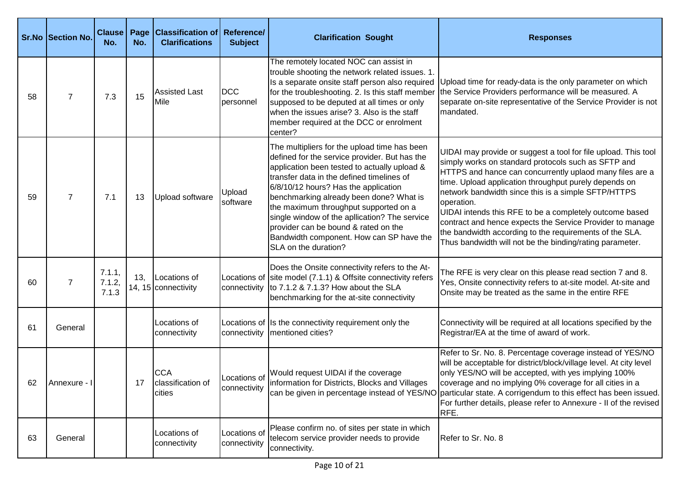|    | <b>Sr.No Section No.</b> | <b>Clause</b><br>No.      | Page<br>No. | <b>Classification of Reference/</b><br><b>Clarifications</b> | <b>Subject</b>               | <b>Clarification Sought</b>                                                                                                                                                                                                                                                                                                                                                                                                                                                         | <b>Responses</b>                                                                                                                                                                                                                                                                                                                                                                                                                                                                                                                                               |
|----|--------------------------|---------------------------|-------------|--------------------------------------------------------------|------------------------------|-------------------------------------------------------------------------------------------------------------------------------------------------------------------------------------------------------------------------------------------------------------------------------------------------------------------------------------------------------------------------------------------------------------------------------------------------------------------------------------|----------------------------------------------------------------------------------------------------------------------------------------------------------------------------------------------------------------------------------------------------------------------------------------------------------------------------------------------------------------------------------------------------------------------------------------------------------------------------------------------------------------------------------------------------------------|
| 58 | $\overline{7}$           | 7.3                       | 15          | <b>Assisted Last</b><br>Mile                                 | <b>IDCC</b><br>personnel     | The remotely located NOC can assist in<br>trouble shooting the network related issues. 1.<br>Is a separate onsite staff person also required<br>for the troubleshooting. 2. Is this staff member<br>supposed to be deputed at all times or only<br>when the issues arise? 3. Also is the staff<br>member required at the DCC or enrolment<br>center?                                                                                                                                | Upload time for ready-data is the only parameter on which<br>the Service Providers performance will be measured. A<br>separate on-site representative of the Service Provider is not<br>mandated.                                                                                                                                                                                                                                                                                                                                                              |
| 59 | $\overline{7}$           | 7.1                       | 13          | Upload software                                              | Upload<br>software           | The multipliers for the upload time has been<br>defined for the service provider. But has the<br>application been tested to actually upload &<br>transfer data in the defined timelines of<br>6/8/10/12 hours? Has the application<br>benchmarking already been done? What is<br>the maximum throughput supported on a<br>single window of the apllication? The service<br>provider can be bound & rated on the<br>Bandwidth component. How can SP have the<br>SLA on the duration? | UIDAI may provide or suggest a tool for file upload. This tool<br>simply works on standard protocols such as SFTP and<br>HTTPS and hance can concurrently uplaod many files are a<br>time. Upload application throughput purely depends on<br>network bandwidth since this is a simple SFTP/HTTPS<br>operation.<br>UIDAI intends this RFE to be a completely outcome based<br>contract and hence expects the Service Provider to manage<br>the bandwidth according to the requirements of the SLA.<br>Thus bandwidth will not be the binding/rating parameter. |
| 60 | 7                        | 7.1.1,<br>7.1.2,<br>7.1.3 | 13,         | Locations of<br>14, 15 connectivity                          | connectivity                 | Does the Onsite connectivity refers to the At-<br>Locations of site model (7.1.1) & Offsite connectivity refers<br>to 7.1.2 & 7.1.3? How about the SLA<br>benchmarking for the at-site connectivity                                                                                                                                                                                                                                                                                 | The RFE is very clear on this please read section 7 and 8.<br>Yes, Onsite connectivity refers to at-site model. At-site and<br>Onsite may be treated as the same in the entire RFE                                                                                                                                                                                                                                                                                                                                                                             |
| 61 | General                  |                           |             | Locations of<br>connectivity                                 | connectivity                 | Locations of Is the connectivity requirement only the<br>mentioned cities?                                                                                                                                                                                                                                                                                                                                                                                                          | Connectivity will be required at all locations specified by the<br>Registrar/EA at the time of award of work.                                                                                                                                                                                                                                                                                                                                                                                                                                                  |
| 62 | Annexure -               |                           | 17          | <b>CCA</b><br>classification of<br>cities                    | Locations of<br>connectivity | Would request UIDAI if the coverage<br>information for Districts, Blocks and Villages                                                                                                                                                                                                                                                                                                                                                                                               | Refer to Sr. No. 8. Percentage coverage instead of YES/NO<br>will be acceptable for district/block/village level. At city level<br>only YES/NO will be accepted, with yes implying 100%<br>coverage and no implying 0% coverage for all cities in a<br>can be given in percentage instead of YES/NO particular state. A corrigendum to this effect has been issued.<br>For further details, please refer to Annexure - II of the revised<br>RFE.                                                                                                               |
| 63 | General                  |                           |             | Locations of<br>connectivity                                 | Locations of<br>connectivity | Please confirm no. of sites per state in which<br>telecom service provider needs to provide<br>connectivity.                                                                                                                                                                                                                                                                                                                                                                        | Refer to Sr. No. 8                                                                                                                                                                                                                                                                                                                                                                                                                                                                                                                                             |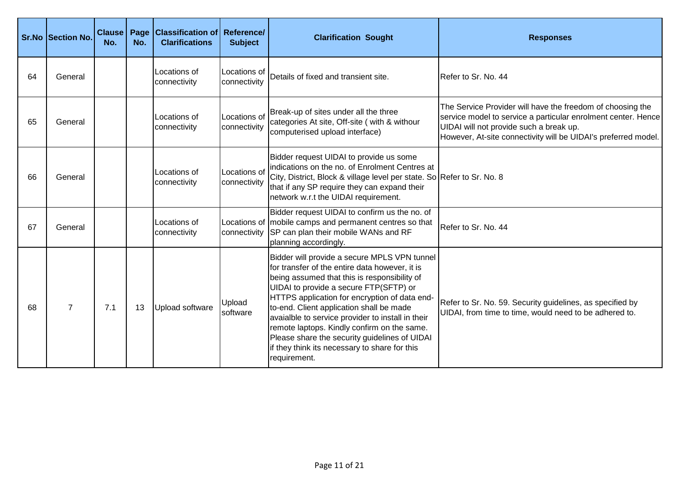|    | Sr.No Section No. | <b>Clause</b><br>No. | Page<br>No. | <b>Classification of Reference/</b><br><b>Clarifications</b> | <b>Subject</b>               | <b>Clarification Sought</b>                                                                                                                                                                                                                                                                                                                                                                                                                                                                                 | <b>Responses</b>                                                                                                                                                                                                                         |
|----|-------------------|----------------------|-------------|--------------------------------------------------------------|------------------------------|-------------------------------------------------------------------------------------------------------------------------------------------------------------------------------------------------------------------------------------------------------------------------------------------------------------------------------------------------------------------------------------------------------------------------------------------------------------------------------------------------------------|------------------------------------------------------------------------------------------------------------------------------------------------------------------------------------------------------------------------------------------|
| 64 | General           |                      |             | Locations of<br>connectivity                                 | Locations of<br>connectivity | Details of fixed and transient site.                                                                                                                                                                                                                                                                                                                                                                                                                                                                        | Refer to Sr. No. 44                                                                                                                                                                                                                      |
| 65 | General           |                      |             | Locations of<br>connectivity                                 | Locations of<br>connectivity | Break-up of sites under all the three<br>categories At site, Off-site ( with & withour<br>computerised upload interface)                                                                                                                                                                                                                                                                                                                                                                                    | The Service Provider will have the freedom of choosing the<br>service model to service a particular enrolment center. Hence<br>UIDAI will not provide such a break up.<br>However, At-site connectivity will be UIDAI's preferred model. |
| 66 | General           |                      |             | Locations of<br>connectivity                                 | Locations of<br>connectivity | Bidder request UIDAI to provide us some<br>indications on the no. of Enrolment Centres at<br>City, District, Block & village level per state. So Refer to Sr. No. 8<br>that if any SP require they can expand their<br>network w.r.t the UIDAI requirement.                                                                                                                                                                                                                                                 |                                                                                                                                                                                                                                          |
| 67 | General           |                      |             | Locations of<br>connectivity                                 |                              | Bidder request UIDAI to confirm us the no. of<br>Locations of mobile camps and permanent centres so that<br>connectivity SP can plan their mobile WANs and RF<br>planning accordingly.                                                                                                                                                                                                                                                                                                                      | Refer to Sr. No. 44                                                                                                                                                                                                                      |
| 68 | $\overline{7}$    | 7.1                  | 13          | Upload software                                              | Upload<br>software           | Bidder will provide a secure MPLS VPN tunnel<br>for transfer of the entire data however, it is<br>being assumed that this is responsibility of<br>UIDAI to provide a secure FTP(SFTP) or<br>HTTPS application for encryption of data end-<br>to-end. Client application shall be made<br>avaialble to service provider to install in their<br>remote laptops. Kindly confirm on the same.<br>Please share the security guidelines of UIDAI<br>if they think its necessary to share for this<br>requirement. | Refer to Sr. No. 59. Security guidelines, as specified by<br>UIDAI, from time to time, would need to be adhered to.                                                                                                                      |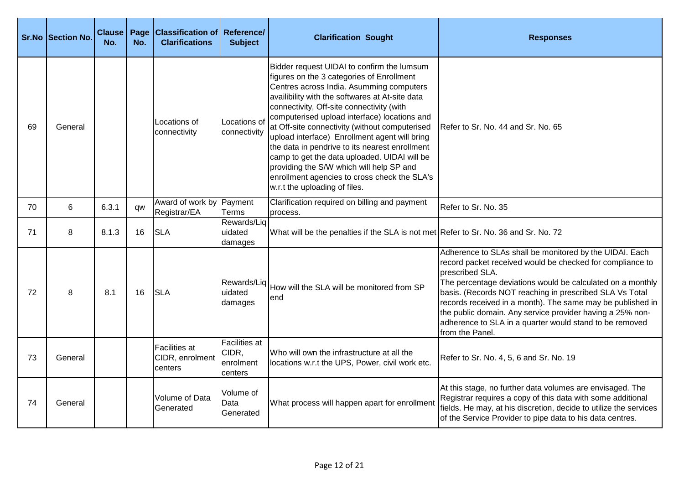|    | <b>Sr.No Section No.</b> | <b>Clause</b><br>No. | Page<br>No. | <b>Classification of Reference/</b><br><b>Clarifications</b> | <b>Subject</b>                                 | <b>Clarification Sought</b>                                                                                                                                                                                                                                                                                                                                                                                                                                                                                                                                                                                           | <b>Responses</b>                                                                                                                                                                                                                                                                                                                                                                                                                                                          |
|----|--------------------------|----------------------|-------------|--------------------------------------------------------------|------------------------------------------------|-----------------------------------------------------------------------------------------------------------------------------------------------------------------------------------------------------------------------------------------------------------------------------------------------------------------------------------------------------------------------------------------------------------------------------------------------------------------------------------------------------------------------------------------------------------------------------------------------------------------------|---------------------------------------------------------------------------------------------------------------------------------------------------------------------------------------------------------------------------------------------------------------------------------------------------------------------------------------------------------------------------------------------------------------------------------------------------------------------------|
| 69 | General                  |                      |             | Locations of<br>connectivity                                 | Locations of<br>connectivity                   | Bidder request UIDAI to confirm the lumsum<br>figures on the 3 categories of Enrollment<br>Centres across India. Asumming computers<br>availibility with the softwares at At-site data<br>connectivity, Off-site connectivity (with<br>computerised upload interface) locations and<br>at Off-site connectivity (without computerised<br>upload interface) Enrollment agent will bring<br>the data in pendrive to its nearest enrollment<br>camp to get the data uploaded. UIDAI will be<br>providing the S/W which will help SP and<br>enrollment agencies to cross check the SLA's<br>w.r.t the uploading of files. | Refer to Sr. No. 44 and Sr. No. 65                                                                                                                                                                                                                                                                                                                                                                                                                                        |
| 70 | 6                        | 6.3.1                | qw          | Award of work by Payment<br>Registrar/EA                     | Terms                                          | Clarification required on billing and payment<br>process.                                                                                                                                                                                                                                                                                                                                                                                                                                                                                                                                                             | Refer to Sr. No. 35                                                                                                                                                                                                                                                                                                                                                                                                                                                       |
| 71 | 8                        | 8.1.3                | 16          | <b>SLA</b>                                                   | Rewards/Liq<br>uidated<br>damages              | What will be the penalties if the SLA is not met Refer to Sr. No. 36 and Sr. No. 72                                                                                                                                                                                                                                                                                                                                                                                                                                                                                                                                   |                                                                                                                                                                                                                                                                                                                                                                                                                                                                           |
| 72 | 8                        | 8.1                  | 16          | <b>SLA</b>                                                   | Rewards/Liq<br>uidated<br>damages              | How will the SLA will be monitored from SP<br>lend                                                                                                                                                                                                                                                                                                                                                                                                                                                                                                                                                                    | Adherence to SLAs shall be monitored by the UIDAI. Each<br>record packet received would be checked for compliance to<br>prescribed SLA.<br>The percentage deviations would be calculated on a monthly<br>basis. (Records NOT reaching in prescribed SLA Vs Total<br>records received in a month). The same may be published in<br>the public domain. Any service provider having a 25% non-<br>adherence to SLA in a quarter would stand to be removed<br>from the Panel. |
| 73 | General                  |                      |             | Facilities at<br>CIDR, enrolment<br>centers                  | Facilities at<br>CIDR,<br>enrolment<br>centers | Who will own the infrastructure at all the<br>locations w.r.t the UPS, Power, civil work etc.                                                                                                                                                                                                                                                                                                                                                                                                                                                                                                                         | Refer to Sr. No. 4, 5, 6 and Sr. No. 19                                                                                                                                                                                                                                                                                                                                                                                                                                   |
| 74 | General                  |                      |             | Volume of Data<br>Generated                                  | Volume of<br>Data<br>Generated                 | What process will happen apart for enrollment                                                                                                                                                                                                                                                                                                                                                                                                                                                                                                                                                                         | At this stage, no further data volumes are envisaged. The<br>Registrar requires a copy of this data with some additional<br>fields. He may, at his discretion, decide to utilize the services<br>of the Service Provider to pipe data to his data centres.                                                                                                                                                                                                                |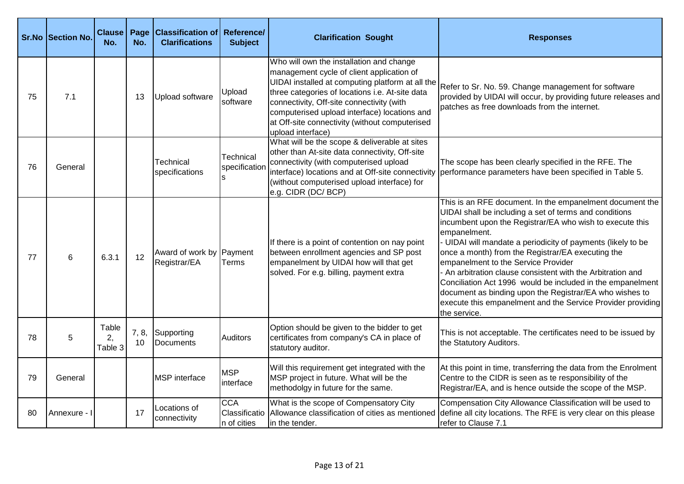|    | Sr.No Section No. | <b>Clause</b><br>No.   | Page<br>No. | <b>Classification of Reference/</b><br><b>Clarifications</b> | <b>Subject</b>                              | <b>Clarification Sought</b>                                                                                                                                                                                                                                                                                                                                      | <b>Responses</b>                                                                                                                                                                                                                                                                                                                                                                                                                                                                                                                                                                                                                  |
|----|-------------------|------------------------|-------------|--------------------------------------------------------------|---------------------------------------------|------------------------------------------------------------------------------------------------------------------------------------------------------------------------------------------------------------------------------------------------------------------------------------------------------------------------------------------------------------------|-----------------------------------------------------------------------------------------------------------------------------------------------------------------------------------------------------------------------------------------------------------------------------------------------------------------------------------------------------------------------------------------------------------------------------------------------------------------------------------------------------------------------------------------------------------------------------------------------------------------------------------|
| 75 | 7.1               |                        | 13          | Upload software                                              | Upload<br>software                          | Who will own the installation and change<br>management cycle of client application of<br>UIDAI installed at computing platform at all the<br>three categories of locations i.e. At-site data<br>connectivity, Off-site connectivity (with<br>computerised upload interface) locations and<br>at Off-site connectivity (without computerised<br>upload interface) | Refer to Sr. No. 59. Change management for software<br>provided by UIDAI will occur, by providing future releases and<br>patches as free downloads from the internet.                                                                                                                                                                                                                                                                                                                                                                                                                                                             |
| 76 | General           |                        |             | Technical<br>specifications                                  | Technical<br>specification                  | What will be the scope & deliverable at sites<br>other than At-site data connectivity, Off-site<br>connectivity (with computerised upload<br>(without computerised upload interface) for<br>e.g. CIDR (DC/ BCP)                                                                                                                                                  | The scope has been clearly specified in the RFE. The<br>interface) locations and at Off-site connectivity performance parameters have been specified in Table 5.                                                                                                                                                                                                                                                                                                                                                                                                                                                                  |
| 77 | 6                 | 6.3.1                  | 12          | Award of work by Payment<br>Registrar/EA                     | Terms                                       | If there is a point of contention on nay point<br>between enrollment agencies and SP post<br>empanelment by UIDAI how will that get<br>solved. For e.g. billing, payment extra                                                                                                                                                                                   | This is an RFE document. In the empanelment document the<br>UIDAI shall be including a set of terms and conditions<br>incumbent upon the Registrar/EA who wish to execute this<br>empanelment.<br>- UIDAI will mandate a periodicity of payments (likely to be<br>once a month) from the Registrar/EA executing the<br>empanelment to the Service Provider<br>- An arbitration clause consistent with the Arbitration and<br>Conciliation Act 1996 would be included in the empanelment<br>document as binding upon the Registrar/EA who wishes to<br>execute this empanelment and the Service Provider providing<br>the service. |
| 78 | 5                 | Table<br>2,<br>Table 3 | 7, 8,<br>10 | Supporting<br>Documents                                      | <b>Auditors</b>                             | Option should be given to the bidder to get<br>certificates from company's CA in place of<br>statutory auditor.                                                                                                                                                                                                                                                  | This is not acceptable. The certificates need to be issued by<br>the Statutory Auditors.                                                                                                                                                                                                                                                                                                                                                                                                                                                                                                                                          |
| 79 | General           |                        |             | <b>MSP</b> interface                                         | <b>MSP</b><br>interface                     | Will this requirement get integrated with the<br>MSP project in future. What will be the<br>methodolgy in future for the same.                                                                                                                                                                                                                                   | At this point in time, transferring the data from the Enrolment<br>Centre to the CIDR is seen as te responsibility of the<br>Registrar/EA, and is hence outside the scope of the MSP.                                                                                                                                                                                                                                                                                                                                                                                                                                             |
| 80 | Annexure -        |                        | 17          | Locations of<br>connectivity                                 | <b>CCA</b><br>Classificatio<br>In of cities | What is the scope of Compensatory City<br>Allowance classification of cities as mentioned<br>lin the tender.                                                                                                                                                                                                                                                     | Compensation City Allowance Classification will be used to<br>define all city locations. The RFE is very clear on this please<br>refer to Clause 7.1                                                                                                                                                                                                                                                                                                                                                                                                                                                                              |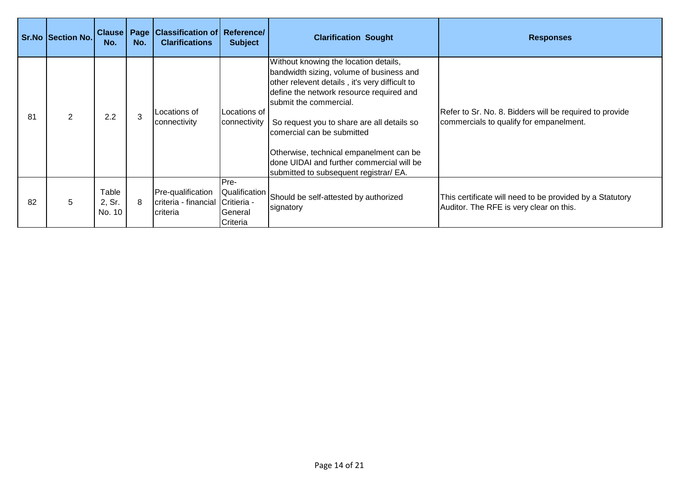|    | <b>Sr.No Section No.</b> | <b>Clause Page</b><br>No. | No. | <b>Classification of Reference/</b><br><b>Clarifications</b>       | <b>Subject</b>                                         | <b>Clarification Sought</b>                                                                                                                                                                                                                                                                                                                                                                                              | <b>Responses</b>                                                                                    |
|----|--------------------------|---------------------------|-----|--------------------------------------------------------------------|--------------------------------------------------------|--------------------------------------------------------------------------------------------------------------------------------------------------------------------------------------------------------------------------------------------------------------------------------------------------------------------------------------------------------------------------------------------------------------------------|-----------------------------------------------------------------------------------------------------|
| 81 | $\overline{2}$           | 2.2                       | 3   | Locations of<br>connectivity                                       | <b>ILocations of</b><br>connectivity                   | Without knowing the location details,<br>bandwidth sizing, volume of business and<br>other relevent details, it's very difficult to<br>define the network resource required and<br>submit the commercial.<br>So request you to share are all details so<br>comercial can be submitted<br>Otherwise, technical empanelment can be<br>Idone UIDAI and further commercial will be<br>submitted to subsequent registrar/ EA. | Refer to Sr. No. 8. Bidders will be required to provide<br>commercials to qualify for empanelment.  |
| 82 | 5                        | Table<br>2, Sr.<br>No. 10 | 8   | Pre-qualification<br>criteria - financial Critieria -<br>Icriteria | IPre-<br>Qualification<br><b>I</b> General<br>Criteria | Should be self-attested by authorized<br>signatory                                                                                                                                                                                                                                                                                                                                                                       | This certificate will need to be provided by a Statutory<br>Auditor. The RFE is very clear on this. |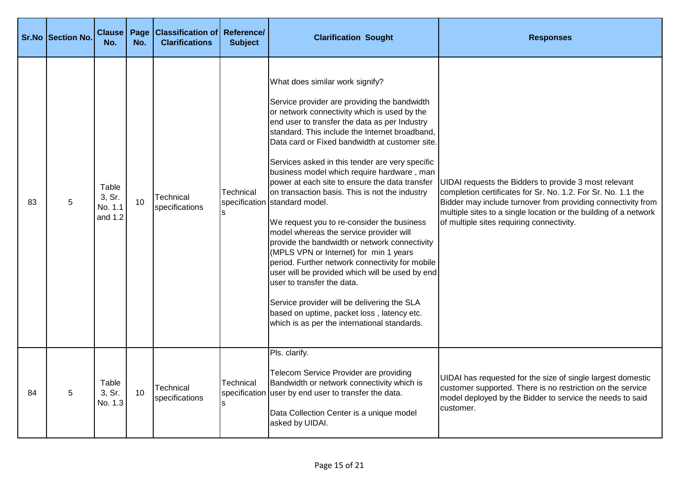|    | <b>Sr.No Section No.</b> | <b>Clause</b><br>No.                    | Page<br>No.     | <b>Classification of Reference/</b><br><b>Clarifications</b> | <b>Subject</b>   | <b>Clarification Sought</b>                                                                                                                                                                                                                                                                                                                                                                                                                                                                                                                                                                                                                                                                                                                                                                                                                                                                                                                                                                     | <b>Responses</b>                                                                                                                                                                                                                                                                                       |
|----|--------------------------|-----------------------------------------|-----------------|--------------------------------------------------------------|------------------|-------------------------------------------------------------------------------------------------------------------------------------------------------------------------------------------------------------------------------------------------------------------------------------------------------------------------------------------------------------------------------------------------------------------------------------------------------------------------------------------------------------------------------------------------------------------------------------------------------------------------------------------------------------------------------------------------------------------------------------------------------------------------------------------------------------------------------------------------------------------------------------------------------------------------------------------------------------------------------------------------|--------------------------------------------------------------------------------------------------------------------------------------------------------------------------------------------------------------------------------------------------------------------------------------------------------|
| 83 | 5                        | Table<br>3, Sr.<br>No. 1.1<br>and $1.2$ | 10 <sup>1</sup> | Technical<br>specifications                                  | Technical        | What does similar work signify?<br>Service provider are providing the bandwidth<br>or network connectivity which is used by the<br>end user to transfer the data as per Industry<br>standard. This include the Internet broadband,<br>Data card or Fixed bandwidth at customer site.<br>Services asked in this tender are very specific<br>business model which require hardware, man<br>power at each site to ensure the data transfer<br>on transaction basis. This is not the industry<br>specification standard model.<br>We request you to re-consider the business<br>model whereas the service provider will<br>provide the bandwidth or network connectivity<br>(MPLS VPN or Internet) for min 1 years<br>period. Further network connectivity for mobile<br>user will be provided which will be used by end<br>user to transfer the data.<br>Service provider will be delivering the SLA<br>based on uptime, packet loss, latency etc.<br>which is as per the international standards. | UIDAI requests the Bidders to provide 3 most relevant<br>completion certificates for Sr. No. 1.2. For Sr. No. 1.1 the<br>Bidder may include turnover from providing connectivity from<br>multiple sites to a single location or the building of a network<br>of multiple sites requiring connectivity. |
| 84 | 5                        | Table<br>3, Sr.<br>No. 1.3              | 10              | <b>Technical</b><br>specifications                           | <b>Technical</b> | Pls. clarify.<br>Telecom Service Provider are providing<br>Bandwidth or network connectivity which is<br>specification user by end user to transfer the data.<br>Data Collection Center is a unique model<br>asked by UIDAI.                                                                                                                                                                                                                                                                                                                                                                                                                                                                                                                                                                                                                                                                                                                                                                    | UIDAI has requested for the size of single largest domestic<br>customer supported. There is no restriction on the service<br>model deployed by the Bidder to service the needs to said<br>customer.                                                                                                    |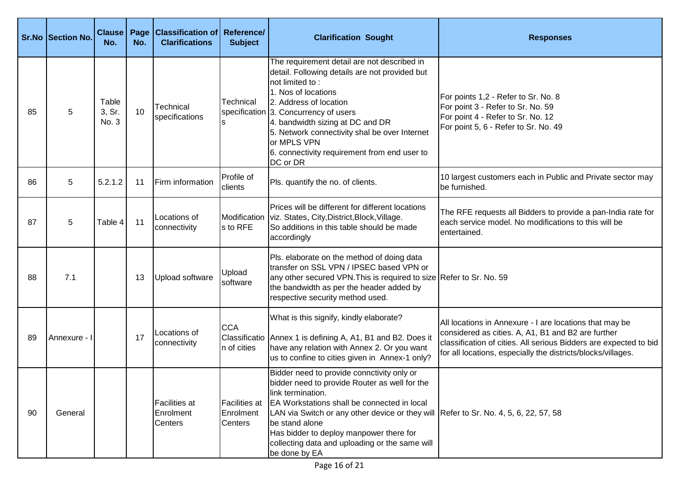|    | <b>Sr.No Section No.</b> | <b>Clause</b><br>No.     | Page<br>No. | <b>Classification of Reference/</b><br><b>Clarifications</b> | <b>Subject</b>                        | <b>Clarification Sought</b>                                                                                                                                                                                                                                                                                                                                                             | <b>Responses</b>                                                                                                                                                                                                                                   |
|----|--------------------------|--------------------------|-------------|--------------------------------------------------------------|---------------------------------------|-----------------------------------------------------------------------------------------------------------------------------------------------------------------------------------------------------------------------------------------------------------------------------------------------------------------------------------------------------------------------------------------|----------------------------------------------------------------------------------------------------------------------------------------------------------------------------------------------------------------------------------------------------|
| 85 | 5                        | Table<br>3, Sr.<br>No. 3 | 10          | Technical<br>specifications                                  | Technical                             | The requirement detail are not described in<br>detail. Following details are not provided but<br>not limited to:<br>1. Nos of locations<br>2. Address of location<br>specification 3. Concurrency of users<br>4. bandwidth sizing at DC and DR<br>5. Network connectivity shal be over Internet<br>or MPLS VPN<br>6. connectivity requirement from end user to<br>DC or DR              | For points 1,2 - Refer to Sr. No. 8<br>For point 3 - Refer to Sr. No. 59<br>For point 4 - Refer to Sr. No. 12<br>For point 5, 6 - Refer to Sr. No. 49                                                                                              |
| 86 | 5                        | 5.2.1.2                  | 11          | Firm information                                             | Profile of<br>clients                 | Pls. quantify the no. of clients.                                                                                                                                                                                                                                                                                                                                                       | 10 largest customers each in Public and Private sector may<br>be furnished.                                                                                                                                                                        |
| 87 | 5                        | Table 4                  | 11          | Locations of<br>connectivity                                 | s to RFE                              | Prices will be different for different locations<br>Modification   viz. States, City, District, Block, Village.<br>So additions in this table should be made<br>accordingly                                                                                                                                                                                                             | The RFE requests all Bidders to provide a pan-India rate for<br>each service model. No modifications to this will be<br>entertained.                                                                                                               |
| 88 | 7.1                      |                          | 13          | Upload software                                              | Upload<br>software                    | Pls. elaborate on the method of doing data<br>transfer on SSL VPN / IPSEC based VPN or<br>any other secured VPN. This is required to size Refer to Sr. No. 59<br>the bandwidth as per the header added by<br>respective security method used.                                                                                                                                           |                                                                                                                                                                                                                                                    |
| 89 | Annexure - I             |                          | 17          | Locations of<br>connectivity                                 | <b>CCA</b><br>In of cities            | What is this signify, kindly elaborate?<br>Classificatio Annex 1 is defining A, A1, B1 and B2. Does it<br>have any relation with Annex 2. Or you want<br>us to confine to cities given in Annex-1 only?                                                                                                                                                                                 | All locations in Annexure - I are locations that may be<br>considered as cities. A, A1, B1 and B2 are further<br>classification of cities. All serious Bidders are expected to bid<br>for all locations, especially the districts/blocks/villages. |
| 90 | General                  |                          |             | <b>Facilities at</b><br>Enrolment<br>Centers                 | Facilities at<br>Enrolment<br>Centers | Bidder need to provide connctivity only or<br>bidder need to provide Router as well for the<br>link termination.<br>EA Workstations shall be connected in local<br>LAN via Switch or any other device or they will Refer to Sr. No. 4, 5, 6, 22, 57, 58<br>be stand alone<br>Has bidder to deploy manpower there for<br>collecting data and uploading or the same will<br>be done by EA |                                                                                                                                                                                                                                                    |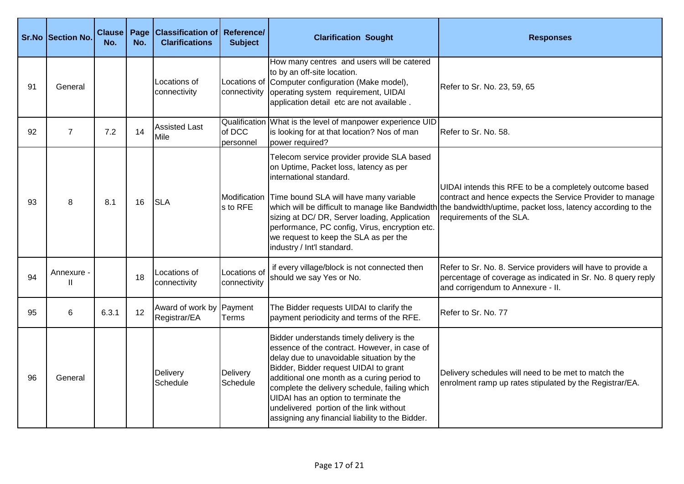|    | Sr.No Section No.          | <b>Clause</b><br>No. | Page<br>No. | <b>Classification of Reference/</b><br><b>Clarifications</b> | <b>Subject</b>                       | <b>Clarification Sought</b>                                                                                                                                                                                                                                                                                                                                                                                           | <b>Responses</b>                                                                                                                                                                                                                                                 |
|----|----------------------------|----------------------|-------------|--------------------------------------------------------------|--------------------------------------|-----------------------------------------------------------------------------------------------------------------------------------------------------------------------------------------------------------------------------------------------------------------------------------------------------------------------------------------------------------------------------------------------------------------------|------------------------------------------------------------------------------------------------------------------------------------------------------------------------------------------------------------------------------------------------------------------|
| 91 | General                    |                      |             | Locations of<br>connectivity                                 | connectivity                         | How many centres and users will be catered<br>to by an off-site location.<br>Locations of Computer configuration (Make model),<br>operating system requirement, UIDAI<br>application detail etc are not available.                                                                                                                                                                                                    | Refer to Sr. No. 23, 59, 65                                                                                                                                                                                                                                      |
| 92 | $\overline{7}$             | 7.2                  | 14          | <b>Assisted Last</b><br>Mile                                 | Qualification<br>of DCC<br>personnel | What is the level of manpower experience UID<br>is looking for at that location? Nos of man<br>power required?                                                                                                                                                                                                                                                                                                        | Refer to Sr. No. 58.                                                                                                                                                                                                                                             |
| 93 | 8                          | 8.1                  | 16          | <b>SLA</b>                                                   | Modification<br>s to RFE             | Telecom service provider provide SLA based<br>on Uptime, Packet loss, latency as per<br>international standard.<br>Time bound SLA will have many variable<br>sizing at DC/ DR, Server loading, Application<br>performance, PC config, Virus, encryption etc.<br>we request to keep the SLA as per the<br>industry / Int'l standard.                                                                                   | UIDAI intends this RFE to be a completely outcome based<br>contract and hence expects the Service Provider to manage<br>which will be difficult to manage like Bandwidth the bandwidth/uptime, packet loss, latency according to the<br>requirements of the SLA. |
| 94 | Annexure -<br>$\mathbf{I}$ |                      | 18          | Locations of<br>connectivity                                 | Locations of<br>connectivity         | if every village/block is not connected then<br>should we say Yes or No.                                                                                                                                                                                                                                                                                                                                              | Refer to Sr. No. 8. Service providers will have to provide a<br>percentage of coverage as indicated in Sr. No. 8 query reply<br>and corrigendum to Annexure - II.                                                                                                |
| 95 | 6                          | 6.3.1                | 12          | Award of work by Payment<br>Registrar/EA                     | <b>Terms</b>                         | The Bidder requests UIDAI to clarify the<br>payment periodicity and terms of the RFE.                                                                                                                                                                                                                                                                                                                                 | Refer to Sr. No. 77                                                                                                                                                                                                                                              |
| 96 | General                    |                      |             | Delivery<br>Schedule                                         | Delivery<br>Schedule                 | Bidder understands timely delivery is the<br>essence of the contract. However, in case of<br>delay due to unavoidable situation by the<br>Bidder, Bidder request UIDAI to grant<br>additional one month as a curing period to<br>complete the delivery schedule, failing which<br>UIDAI has an option to terminate the<br>undelivered portion of the link without<br>assigning any financial liability to the Bidder. | Delivery schedules will need to be met to match the<br>enrolment ramp up rates stipulated by the Registrar/EA.                                                                                                                                                   |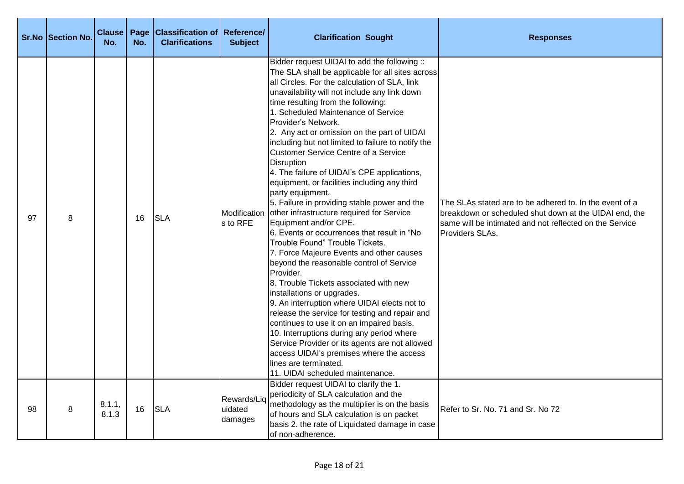|    | <b>Sr.No Section No.</b> | <b>Clause</b><br>No. | Page<br>No. | <b>Classification of Reference/</b><br><b>Clarifications</b> | <b>Subject</b>                    | <b>Clarification Sought</b>                                                                                                                                                                                                                                                                                                                                                                                                                                                                                                                                                                                                                                                                                                                                                                                                                                                                                                                                                                                                                                                                                                                                                                                                                                                                                                                          | <b>Responses</b>                                                                                                                                                                                |
|----|--------------------------|----------------------|-------------|--------------------------------------------------------------|-----------------------------------|------------------------------------------------------------------------------------------------------------------------------------------------------------------------------------------------------------------------------------------------------------------------------------------------------------------------------------------------------------------------------------------------------------------------------------------------------------------------------------------------------------------------------------------------------------------------------------------------------------------------------------------------------------------------------------------------------------------------------------------------------------------------------------------------------------------------------------------------------------------------------------------------------------------------------------------------------------------------------------------------------------------------------------------------------------------------------------------------------------------------------------------------------------------------------------------------------------------------------------------------------------------------------------------------------------------------------------------------------|-------------------------------------------------------------------------------------------------------------------------------------------------------------------------------------------------|
| 97 | 8                        |                      | 16          | <b>SLA</b>                                                   | s to RFE                          | Bidder request UIDAI to add the following ::<br>The SLA shall be applicable for all sites across<br>all Circles. For the calculation of SLA, link<br>unavailability will not include any link down<br>time resulting from the following:<br>1. Scheduled Maintenance of Service<br>Provider's Network.<br>2. Any act or omission on the part of UIDAI<br>including but not limited to failure to notify the<br>Customer Service Centre of a Service<br><b>Disruption</b><br>4. The failure of UIDAI's CPE applications,<br>equipment, or facilities including any third<br>party equipment.<br>5. Failure in providing stable power and the<br>Modification other infrastructure required for Service<br>Equipment and/or CPE.<br>6. Events or occurrences that result in "No<br>Trouble Found" Trouble Tickets.<br>7. Force Majeure Events and other causes<br>beyond the reasonable control of Service<br>Provider.<br>8. Trouble Tickets associated with new<br>installations or upgrades.<br>9. An interruption where UIDAI elects not to<br>release the service for testing and repair and<br>continues to use it on an impaired basis.<br>10. Interruptions during any period where<br>Service Provider or its agents are not allowed<br>access UIDAI's premises where the access<br>lines are terminated.<br>11. UIDAI scheduled maintenance. | The SLAs stated are to be adhered to. In the event of a<br>breakdown or scheduled shut down at the UIDAI end, the<br>same will be intimated and not reflected on the Service<br>Providers SLAs. |
| 98 | 8                        | 8.1.1,<br>8.1.3      | 16          | <b>SLA</b>                                                   | Rewards/Liq<br>uidated<br>damages | Bidder request UIDAI to clarify the 1.<br>periodicity of SLA calculation and the<br>methodology as the multiplier is on the basis<br>of hours and SLA calculation is on packet<br>basis 2. the rate of Liquidated damage in case<br>of non-adherence.                                                                                                                                                                                                                                                                                                                                                                                                                                                                                                                                                                                                                                                                                                                                                                                                                                                                                                                                                                                                                                                                                                | Refer to Sr. No. 71 and Sr. No 72                                                                                                                                                               |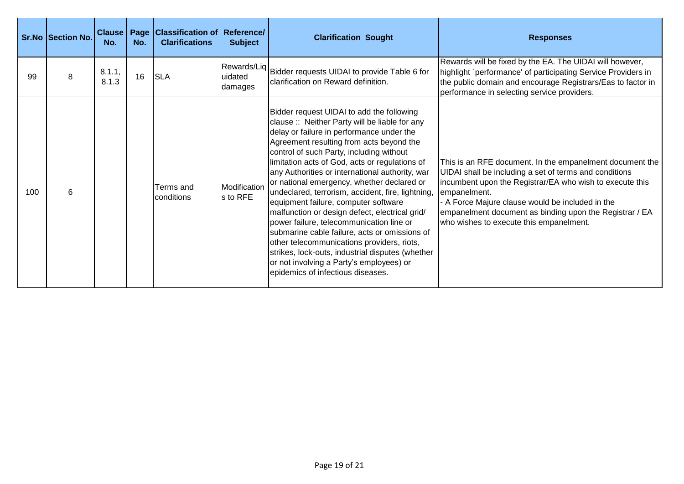|     | <b>Sr.No Section No.</b> | Clause   Page<br>No. | No. | <b>Classification of Reference/</b><br><b>Clarifications</b> | <b>Subject</b>           | <b>Clarification Sought</b>                                                                                                                                                                                                                                                                                                                                                                                                                                                                                                                                                                                                                                                                                                                                                                                        | <b>Responses</b>                                                                                                                                                                                                                                                                                                                                         |
|-----|--------------------------|----------------------|-----|--------------------------------------------------------------|--------------------------|--------------------------------------------------------------------------------------------------------------------------------------------------------------------------------------------------------------------------------------------------------------------------------------------------------------------------------------------------------------------------------------------------------------------------------------------------------------------------------------------------------------------------------------------------------------------------------------------------------------------------------------------------------------------------------------------------------------------------------------------------------------------------------------------------------------------|----------------------------------------------------------------------------------------------------------------------------------------------------------------------------------------------------------------------------------------------------------------------------------------------------------------------------------------------------------|
| 99  | 8                        | 8.1.1,<br>8.1.3      | 16  | <b>SLA</b>                                                   | uidated<br>damages       | Rewards/Liq Bidder requests UIDAI to provide Table 6 for<br>clarification on Reward definition.                                                                                                                                                                                                                                                                                                                                                                                                                                                                                                                                                                                                                                                                                                                    | Rewards will be fixed by the EA. The UIDAI will however,<br>highlight `performance' of participating Service Providers in<br>the public domain and encourage Registrars/Eas to factor in<br>performance in selecting service providers.                                                                                                                  |
| 100 | 6                        |                      |     | Terms and<br>conditions                                      | Modification<br>s to RFE | Bidder request UIDAI to add the following<br>clause :: Neither Party will be liable for any<br>delay or failure in performance under the<br>Agreement resulting from acts beyond the<br>control of such Party, including without<br>limitation acts of God, acts or regulations of<br>any Authorities or international authority, war<br>or national emergency, whether declared or<br>undeclared, terrorism, accident, fire, lightning,<br>equipment failure, computer software<br>malfunction or design defect, electrical grid/<br>power failure, telecommunication line or<br>submarine cable failure, acts or omissions of<br>other telecommunications providers, riots,<br>strikes, lock-outs, industrial disputes (whether<br>or not involving a Party's employees) or<br>epidemics of infectious diseases. | This is an RFE document. In the empanelment document the<br>UIDAI shall be including a set of terms and conditions<br>incumbent upon the Registrar/EA who wish to execute this<br>empanelment.<br>- A Force Majure clause would be included in the<br>empanelment document as binding upon the Registrar / EA<br>who wishes to execute this empanelment. |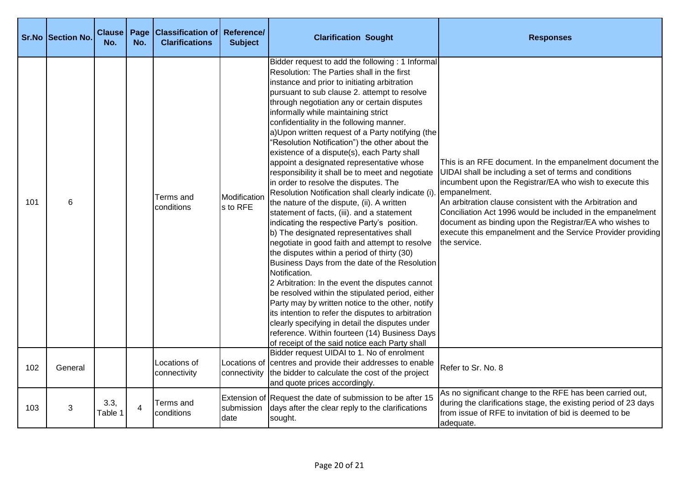|     | <b>Sr.No Section No.</b> | <b>Clause</b><br>No. | Page<br>No. | <b>Classification of Reference/</b><br><b>Clarifications</b> | <b>Subject</b>           | <b>Clarification Sought</b>                                                                                                                                                                                                                                                                                                                                                                                                                                                                                                                                                                                                                                                                                                                                                                                                                                                                                                                                                                                                                                                                                                                                                                                                                                                                                                                                                                                           | <b>Responses</b>                                                                                                                                                                                                                                                                                                                                                                                                                                                    |
|-----|--------------------------|----------------------|-------------|--------------------------------------------------------------|--------------------------|-----------------------------------------------------------------------------------------------------------------------------------------------------------------------------------------------------------------------------------------------------------------------------------------------------------------------------------------------------------------------------------------------------------------------------------------------------------------------------------------------------------------------------------------------------------------------------------------------------------------------------------------------------------------------------------------------------------------------------------------------------------------------------------------------------------------------------------------------------------------------------------------------------------------------------------------------------------------------------------------------------------------------------------------------------------------------------------------------------------------------------------------------------------------------------------------------------------------------------------------------------------------------------------------------------------------------------------------------------------------------------------------------------------------------|---------------------------------------------------------------------------------------------------------------------------------------------------------------------------------------------------------------------------------------------------------------------------------------------------------------------------------------------------------------------------------------------------------------------------------------------------------------------|
| 101 | 6                        |                      |             | Terms and<br>conditions                                      | Modificatior<br>s to RFE | Bidder request to add the following : 1 Informal<br>Resolution: The Parties shall in the first<br>instance and prior to initiating arbitration<br>pursuant to sub clause 2. attempt to resolve<br>through negotiation any or certain disputes<br>informally while maintaining strict<br>confidentiality in the following manner.<br>a)Upon written request of a Party notifying (the<br>"Resolution Notification") the other about the<br>existence of a dispute(s), each Party shall<br>appoint a designated representative whose<br>responsibility it shall be to meet and negotiate<br>in order to resolve the disputes. The<br>Resolution Notification shall clearly indicate (i)<br>the nature of the dispute, (ii). A written<br>statement of facts, (iii). and a statement<br>indicating the respective Party's position.<br>b) The designated representatives shall<br>negotiate in good faith and attempt to resolve<br>the disputes within a period of thirty (30)<br>Business Days from the date of the Resolution<br>Notification.<br>2 Arbitration: In the event the disputes cannot<br>be resolved within the stipulated period, either<br>Party may by written notice to the other, notify<br>its intention to refer the disputes to arbitration<br>clearly specifying in detail the disputes under<br>reference. Within fourteen (14) Business Days<br>of receipt of the said notice each Party shall | This is an RFE document. In the empanelment document the<br>UIDAI shall be including a set of terms and conditions<br>incumbent upon the Registrar/EA who wish to execute this<br>empanelment.<br>An arbitration clause consistent with the Arbitration and<br>Conciliation Act 1996 would be included in the empanelment<br>document as binding upon the Registrar/EA who wishes to<br>execute this empanelment and the Service Provider providing<br>the service. |
| 102 | General                  |                      |             | Locations of<br>connectivity                                 |                          | Bidder request UIDAI to 1. No of enrolment<br>Locations of centres and provide their addresses to enable<br>connectivity the bidder to calculate the cost of the project<br>and quote prices accordingly.                                                                                                                                                                                                                                                                                                                                                                                                                                                                                                                                                                                                                                                                                                                                                                                                                                                                                                                                                                                                                                                                                                                                                                                                             | Refer to Sr. No. 8                                                                                                                                                                                                                                                                                                                                                                                                                                                  |
| 103 | 3                        | 3.3,<br>Table 1      | 4           | Terms and<br>conditions                                      | submission<br>date       | Extension of Request the date of submission to be after 15<br>days after the clear reply to the clarifications<br>sought.                                                                                                                                                                                                                                                                                                                                                                                                                                                                                                                                                                                                                                                                                                                                                                                                                                                                                                                                                                                                                                                                                                                                                                                                                                                                                             | As no significant change to the RFE has been carried out,<br>during the clarifications stage, the existing period of 23 days<br>from issue of RFE to invitation of bid is deemed to be<br>adequate.                                                                                                                                                                                                                                                                 |